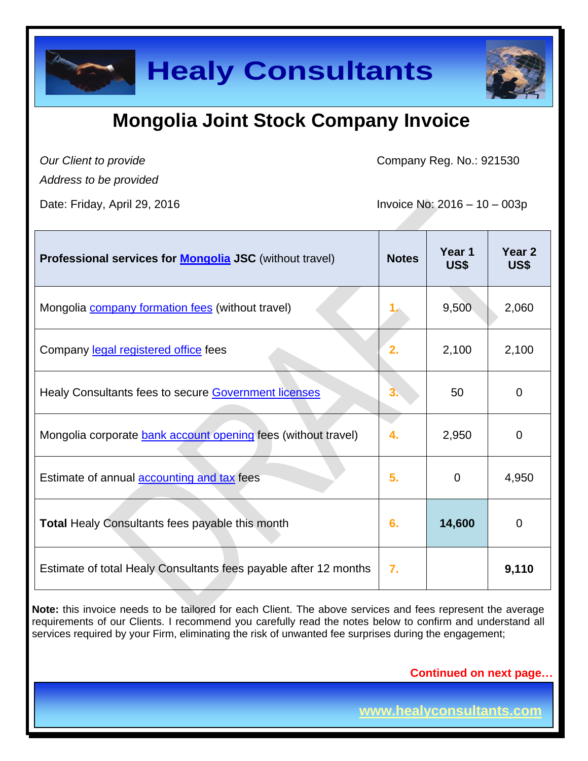

### **Mongolia Joint Stock Company Invoice**

*Our Client to provide* 

Company Reg. No.: 921530

*Address to be provided*

Date: Friday, April 29, 2016 **Invoice No: 2016** - 10 – 003p

| Professional services for <b>Mongolia JSC</b> (without travel)   | <b>Notes</b> | Year 1<br>US\$ | Year <sub>2</sub><br>US\$ |
|------------------------------------------------------------------|--------------|----------------|---------------------------|
| Mongolia <b>company formation fees</b> (without travel)          |              | 9,500          | 2,060                     |
| Company legal registered office fees                             | 2.           | 2,100          | 2,100                     |
| Healy Consultants fees to secure <b>Government licenses</b>      |              | 50             | 0                         |
| Mongolia corporate bank account opening fees (without travel)    | 4.           | 2,950          | $\overline{0}$            |
| Estimate of annual <b>accounting and tax</b> fees                | 5.           | 0              | 4,950                     |
| <b>Total Healy Consultants fees payable this month</b>           | 6.           | 14,600         | 0                         |
| Estimate of total Healy Consultants fees payable after 12 months | 7.           |                | 9,110                     |

**Note:** this invoice needs to be tailored for each Client. The above services and fees represent the average requirements of our Clients. I recommend you carefully read the notes below to confirm and understand all services required by your Firm, eliminating the risk of unwanted fee surprises during the engagement;

**Continued on next page…**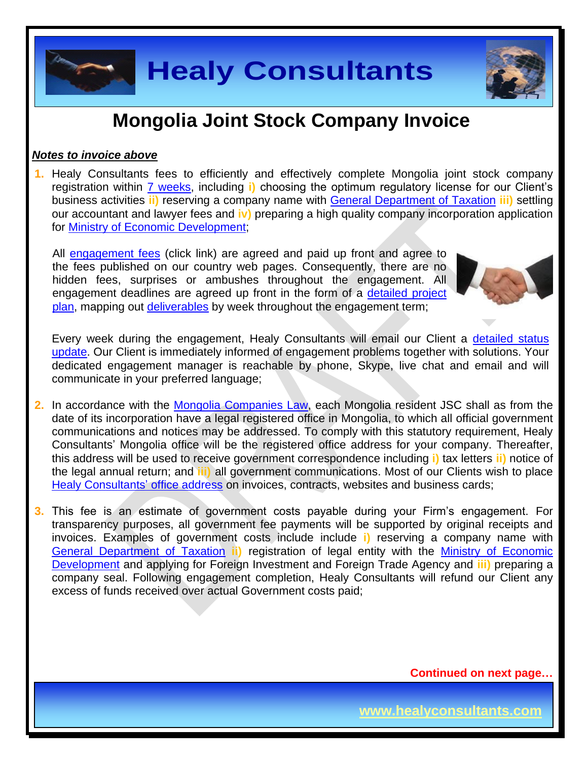

### **Mongolia Joint Stock Company Invoice**

#### *Notes to invoice above*

**1.** Healy Consultants fees to efficiently and effectively complete Mongolia joint stock company registration within [7 weeks,](http://www.healyconsultants.com/mongolia-company-registration/fees-timelines/#timelines) including **i)** choosing the optimum regulatory license for our Client's business activities **ii)** reserving a company name with [General Department of Taxation](http://en.mta.mn/) **iii)** settling our accountant and lawyer fees and **iv)** preparing a high quality company incorporation application for [Ministry of Economic Development;](http://investmongolia.com/en/)

All [engagement fees](http://www.healyconsultants.com/company-registration-fees/) (click link) are agreed and paid up front and agree to the fees published on our country web pages. Consequently, there are no hidden fees, surprises or ambushes throughout the engagement. All engagement deadlines are agreed up front in the form of a [detailed project](http://www.healyconsultants.com/index-important-links/example-project-plan/)  [plan,](http://www.healyconsultants.com/index-important-links/example-project-plan/) mapping out [deliverables](http://www.healyconsultants.com/deliverables-to-our-clients/) by week throughout the engagement term;



Every week during the engagement, Healy Consultants will email our Client a [detailed status](http://www.healyconsultants.com/index-important-links/weekly-engagement-status-email/)  [update.](http://www.healyconsultants.com/index-important-links/weekly-engagement-status-email/) Our Client is immediately informed of engagement problems together with solutions. Your dedicated engagement manager is reachable by phone, Skype, live chat and email and will communicate in your preferred language;

- **2.** In accordance with the Mongolia [Companies Law,](../../../../../../Downloads/MNG57599.pdf) each Mongolia resident JSC shall as from the date of its incorporation have a legal registered office in Mongolia, to which all official government communications and notices may be addressed. To comply with this statutory requirement, Healy Consultants' Mongolia office will be the registered office address for your company. Thereafter, this address will be used to receive government correspondence including **i)** tax letters **ii)** notice of the legal annual return; and **iii)** all government communications. Most of our Clients wish to place [Healy Consultants'](http://www.healyconsultants.com/corporate-outsourcing-services/company-secretary-and-legal-registered-office/) office address on invoices, contracts, websites and business cards;
- **3.** This fee is an estimate of government costs payable during your Firm's engagement. For transparency purposes, all government fee payments will be supported by original receipts and invoices. Examples of government costs include include **i)** reserving a company name with [General Department of Taxation](http://en.mta.mn/) **ii)** registration of legal entity with the [Ministry of Economic](http://investmongolia.com/en/)  [Development](http://investmongolia.com/en/) and applying for Foreign Investment and Foreign Trade Agency and **iii)** preparing a company seal. Following engagement completion, Healy Consultants will refund our Client any excess of funds received over actual Government costs paid;

**Continued on next page…**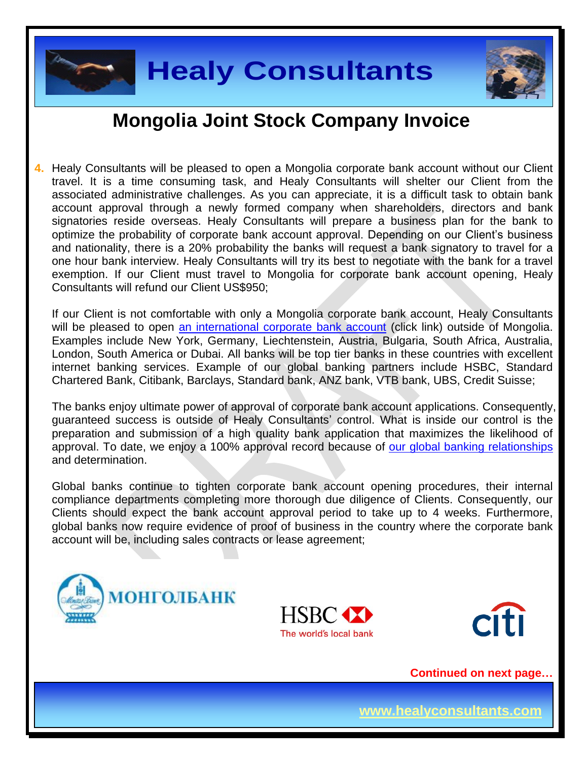



### **Mongolia Joint Stock Company Invoice**

**4.** Healy Consultants will be pleased to open a Mongolia corporate bank account without our Client travel. It is a time consuming task, and Healy Consultants will shelter our Client from the associated administrative challenges. As you can appreciate, it is a difficult task to obtain bank account approval through a newly formed company when shareholders, directors and bank signatories reside overseas. Healy Consultants will prepare a business plan for the bank to optimize the probability of corporate bank account approval. Depending on our Client's business and nationality, there is a 20% probability the banks will request a bank signatory to travel for a one hour bank interview. Healy Consultants will try its best to negotiate with the bank for a travel exemption. If our Client must travel to Mongolia for corporate bank account opening, Healy Consultants will refund our Client US\$950;

If our Client is not comfortable with only a Mongolia corporate bank account, Healy Consultants will be pleased to open [an international corporate bank account](http://www.healyconsultants.com/international-banking/) (click link) outside of Mongolia. Examples include New York, Germany, Liechtenstein, Austria, Bulgaria, South Africa, Australia, London, South America or Dubai. All banks will be top tier banks in these countries with excellent internet banking services. Example of our global banking partners include HSBC, Standard Chartered Bank, Citibank, Barclays, Standard bank, ANZ bank, VTB bank, UBS, Credit Suisse;

The banks enjoy ultimate power of approval of corporate bank account applications. Consequently, guaranteed success is outside of Healy Consultants' control. What is inside our control is the preparation and submission of a high quality bank application that maximizes the likelihood of approval. To date, we enjoy a 100% approval record because of [our global banking relationships](http://www.healyconsultants.com/international-banking/corporate-accounts/) and determination.

Global banks continue to tighten corporate bank account opening procedures, their internal compliance departments completing more thorough due diligence of Clients. Consequently, our Clients should expect the bank account approval period to take up to 4 weeks. Furthermore, global banks now require evidence of proof of business in the country where the corporate bank account will be, including sales contracts or lease agreement;







**Continued on next page…**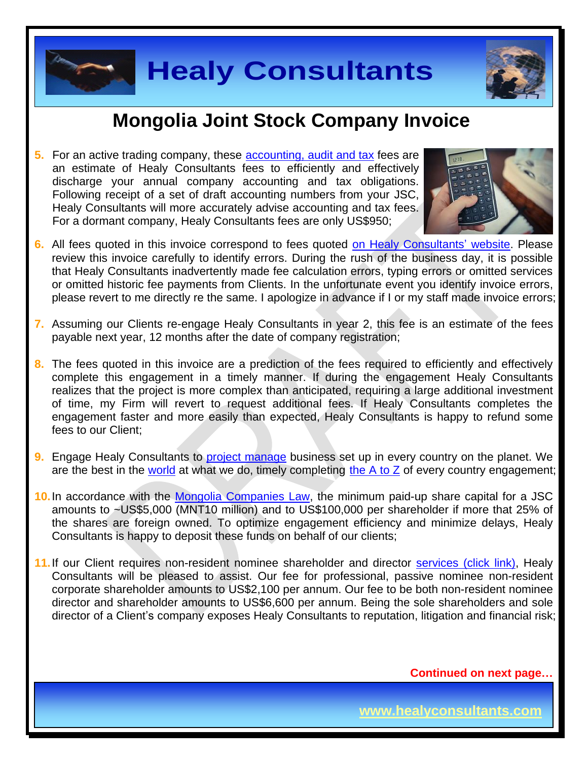



### **Mongolia Joint Stock Company Invoice**

**5.** For an active trading company, these [accounting, audit](http://www.healyconsultants.com/mongolia-company-registration/accounting-legal/) and tax fees are an estimate of Healy Consultants fees to efficiently and effectively discharge your annual company accounting and tax obligations. Following receipt of a set of draft accounting numbers from your JSC, Healy Consultants will more accurately advise accounting and tax fees. For a dormant company, Healy Consultants fees are only US\$950;



- **6.** All fees quoted in this invoice correspond to fees quoted [on Healy Consultants' website.](http://www.healyconsultants.com/company-registration-fees/) Please review this invoice carefully to identify errors. During the rush of the business day, it is possible that Healy Consultants inadvertently made fee calculation errors, typing errors or omitted services or omitted historic fee payments from Clients. In the unfortunate event you identify invoice errors, please revert to me directly re the same. I apologize in advance if I or my staff made invoice errors;
- **7.** Assuming our Clients re-engage Healy Consultants in year 2, this fee is an estimate of the fees payable next year, 12 months after the date of company registration;
- **8.** The fees quoted in this invoice are a prediction of the fees required to efficiently and effectively complete this engagement in a timely manner. If during the engagement Healy Consultants realizes that the project is more complex than anticipated, requiring a large additional investment of time, my Firm will revert to request additional fees. If Healy Consultants completes the engagement faster and more easily than expected, Healy Consultants is happy to refund some fees to our Client;
- **9.** Engage Healy Consultants to [project manage](http://www.healyconsultants.com/project-manage-engagements/) business set up in every country on the planet. We are the best in the [world](http://www.healyconsultants.com/best-in-the-world/) at what we do, timely completing the  $A$  to  $Z$  of every country engagement;
- **10.**In accordance with the [Mongolia Companies Law,](../../../../../../Downloads/MNG57599.pdf) the minimum paid-up share capital for a JSC amounts to ~US\$5,000 (MNT10 million) and to US\$100,000 per shareholder if more that 25% of the shares are foreign owned. To optimize engagement efficiency and minimize delays, Healy Consultants is happy to deposit these funds on behalf of our clients;
- **11.**If our Client requires non-resident nominee shareholder and director services [\(click link\),](http://www.healyconsultants.com/corporate-outsourcing-services/nominee-shareholders-directors/) Healy Consultants will be pleased to assist. Our fee for professional, passive nominee non-resident corporate shareholder amounts to US\$2,100 per annum. Our fee to be both non-resident nominee director and shareholder amounts to US\$6,600 per annum. Being the sole shareholders and sole director of a Client's company exposes Healy Consultants to reputation, litigation and financial risk;

**Continued on next page…**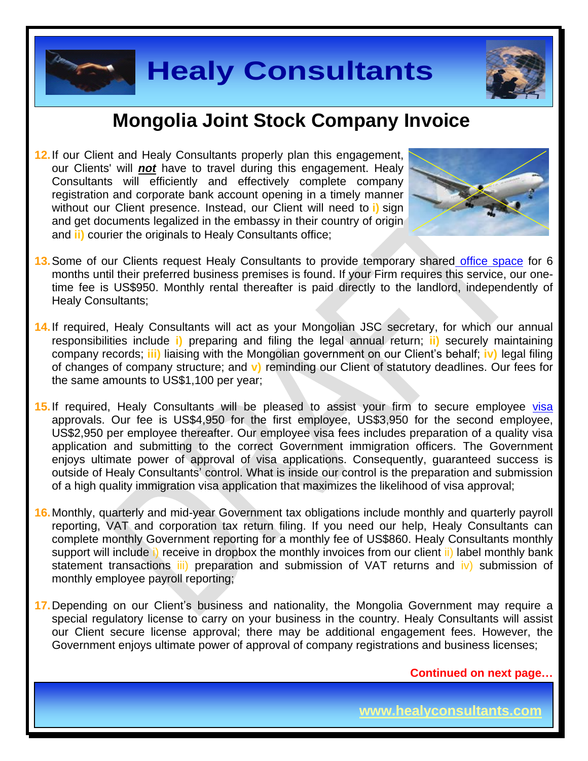



#### **Mongolia Joint Stock Company Invoice**

**12.** If our Client and Healy Consultants properly plan this engagement, our Clients' will *not* have to travel during this engagement. Healy Consultants will efficiently and effectively complete company registration and corporate bank account opening in a timely manner without our Client presence. Instead, our Client will need to **i)** sign and get documents legalized in the embassy in their country of origin and **ii)** courier the originals to Healy Consultants office;



- **13.** Some of our Clients request Healy Consultants to provide temporary shared [office space](http://www.healyconsultants.com/virtual-office/) for 6 months until their preferred business premises is found. If your Firm requires this service, our onetime fee is US\$950. Monthly rental thereafter is paid directly to the landlord, independently of Healy Consultants;
- 14. If required, Healy Consultants will act as your Mongolian JSC secretary, for which our annual responsibilities include **i)** preparing and filing the legal annual return; **ii)** securely maintaining company records; **iii)** liaising with the Mongolian government on our Client's behalf; **iv)** legal filing of changes of company structure; and **v)** reminding our Client of statutory deadlines. Our fees for the same amounts to US\$1,100 per year;
- 15. If required, Healy Consultants will be pleased to assist your firm to secure employee visa approvals. Our fee is US\$4,950 for the first employee, US\$3,950 for the second employee, US\$2,950 per employee thereafter. Our employee visa fees includes preparation of a quality visa application and submitting to the correct Government immigration officers. The Government enjoys ultimate power of approval of visa applications. Consequently, guaranteed success is outside of Healy Consultants' control. What is inside our control is the preparation and submission of a high quality immigration visa application that maximizes the likelihood of visa approval;
- **16.** Monthly, quarterly and mid-year Government tax obligations include monthly and quarterly payroll reporting, VAT and corporation tax return filing. If you need our help, Healy Consultants can complete monthly Government reporting for a monthly fee of US\$860. Healy Consultants monthly support will include i) receive in dropbox the monthly invoices from our client ii) label monthly bank statement transactions iii) preparation and submission of VAT returns and iv) submission of monthly employee payroll reporting;
- **17.** Depending on our Client's business and nationality, the Mongolia Government may require a special regulatory license to carry on your business in the country. Healy Consultants will assist our Client secure license approval; there may be additional engagement fees. However, the Government enjoys ultimate power of approval of company registrations and business licenses;

**Continued on next page…**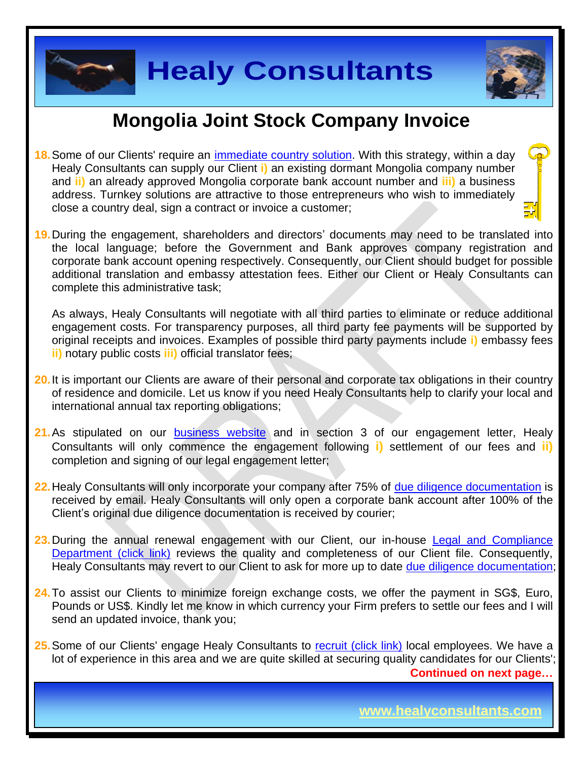

### **Mongolia Joint Stock Company Invoice**

- **18.**Some of our Clients' require an [immediate country solution.](http://www.healyconsultants.com/turnkey-solutions/) With this strategy, within a day Healy Consultants can supply our Client **i)** an existing dormant Mongolia company number and **ii)** an already approved Mongolia corporate bank account number and **iii)** a business address. Turnkey solutions are attractive to those entrepreneurs who wish to immediately close a country deal, sign a contract or invoice a customer;
- **19.** During the engagement, shareholders and directors' documents may need to be translated into the local language; before the Government and Bank approves company registration and corporate bank account opening respectively. Consequently, our Client should budget for possible additional translation and embassy attestation fees. Either our Client or Healy Consultants can complete this administrative task;

As always, Healy Consultants will negotiate with all third parties to eliminate or reduce additional engagement costs. For transparency purposes, all third party fee payments will be supported by original receipts and invoices. Examples of possible third party payments include **i)** embassy fees **ii)** notary public costs **iii)** official translator fees;

- **20.** It is important our Clients are aware of their personal and corporate tax obligations in their country of residence and domicile. Let us know if you need Healy Consultants help to clarify your local and international annual tax reporting obligations;
- **21.** As stipulated on our **[business website](http://www.healyconsultants.com/)** and in section 3 of our engagement letter, Healy Consultants will only commence the engagement following **i)** settlement of our fees and **ii)** completion and signing of our legal engagement letter;
- 22. Healy Consultants will only incorporate your company after 75% of [due diligence documentation](http://www.healyconsultants.com/due-diligence/) is received by email. Healy Consultants will only open a corporate bank account after 100% of the Client's original due diligence documentation is received by courier;
- **23.** During the annual renewal engagement with our Client, our in-house [Legal and Compliance](http://www.healyconsultants.com/about-us/key-personnel/cai-xin-profile/)  [Department \(click link\)](http://www.healyconsultants.com/about-us/key-personnel/cai-xin-profile/) reviews the quality and completeness of our Client file. Consequently, Healy Consultants may revert to our Client to ask for more up to date [due diligence documentation;](http://www.healyconsultants.com/due-diligence/)
- **24.** To assist our Clients to minimize foreign exchange costs, we offer the payment in SG\$, Euro, Pounds or US\$. Kindly let me know in which currency your Firm prefers to settle our fees and I will send an updated invoice, thank you;

**Continued on next page…** 25. Some of our Clients' engage Healy Consultants to [recruit \(click link\)](http://www.healyconsultants.com/corporate-outsourcing-services/how-we-help-our-clients-recruit-quality-employees/) local employees. We have a lot of experience in this area and we are quite skilled at securing quality candidates for our Clients';